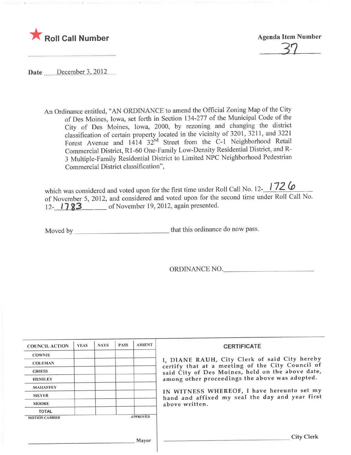

37

Date  $December 3,2012$ 

An Ordinance entitled, TAN ORDINANCE to american the Official Code of the Official Code of the Official Code of the Official Code of the Official Code of the Official Code of the Official Code of the Official Code of the O An Ordinance entitled, "AN ORDINANCE to amend the Official Zoning Map of the City City of Des Moines, Iowa, 2000, by rezoning and changing the district classification of certain property located in the vicinity of 3201, 3211, and 3221 Forest Avenue and 1414 32<sup>nd</sup> Street from the C-1 Neighborhood Retail Commercial District, Rl-60 One-Family Low-Density Residential District, and R-3 Multiple-Family Residential District to Limited NPC Neighborhood Pedestrian Commercial District classification",

which was considered and voted upon for the first time under Roll Call No. 12- $\frac{172}{\omega}$ of November 5, 2012, and considered and voted upon for the second time under Roll Call No. 12- 1783 of November 19, 2012, again presented.

Moved by **that this ordinance do now pass.** 

ORDINANCE NO.

| <b>COUNCIL ACTION</b> | <b>YEAS</b> | <b>NAYS</b> | <b>PASS</b> | <b>ABSENT</b>   | <b>CERTIFICATE</b>                                                                                                                                                                                                                                                                                                         |
|-----------------------|-------------|-------------|-------------|-----------------|----------------------------------------------------------------------------------------------------------------------------------------------------------------------------------------------------------------------------------------------------------------------------------------------------------------------------|
| <b>COWNIE</b>         |             |             |             |                 |                                                                                                                                                                                                                                                                                                                            |
| <b>COLEMAN</b>        |             |             |             |                 | I, DIANE RAUH, City Clerk of said City hereby<br>certify that at a meeting of the City Council of<br>said City of Des Moines, held on the above date,<br>among other proceedings the above was adopted.<br>IN WITNESS WHEREOF, I have hereunto set my<br>hand and affixed my seal the day and year first<br>above written. |
| <b>GRIESS</b>         |             |             |             |                 |                                                                                                                                                                                                                                                                                                                            |
| <b>HENSLEY</b>        |             |             |             |                 |                                                                                                                                                                                                                                                                                                                            |
| <b>MAHAFFEY</b>       |             |             |             |                 |                                                                                                                                                                                                                                                                                                                            |
| <b>MEYER</b>          |             |             |             |                 |                                                                                                                                                                                                                                                                                                                            |
| <b>MOORE</b>          |             |             |             |                 |                                                                                                                                                                                                                                                                                                                            |
| <b>TOTAL</b>          |             |             |             |                 |                                                                                                                                                                                                                                                                                                                            |
| <b>MOTION CARRIED</b> |             |             |             | <b>APPROVED</b> |                                                                                                                                                                                                                                                                                                                            |
|                       |             |             |             |                 |                                                                                                                                                                                                                                                                                                                            |
|                       |             |             |             | <b>Mayor</b>    | <b>City Clerk</b>                                                                                                                                                                                                                                                                                                          |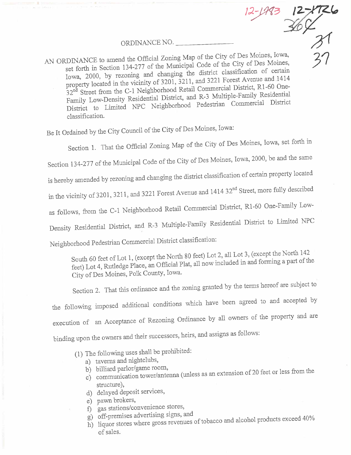### ORDINANCE NO.

 $\frac{12}{30}$ <br>31<br>31 AN ORDINANCE to amend the Official Zoning Map of the City of Des Moines, Iowa, set forth in Section 134-277 of the Municipal Code of the City of Des Moines, Iowa, 2000, by rezoning and changing the district classification of certain property located in the vicinity of 3201, 3211, and 3221 Forest Avenue and 1414 32<sup>nd</sup> Street from the C-1 Neighborhood Retail Commercial District, R1-60 One-Family Low-Density Residential District, and R-3 Multiple-Family Residential Family Low-Density Residential District, and R-3 Matter-F<br>Residential District  $D$ istrict to Limited NPC Neighborhood  $P$ classification.

Be It Ordained by the City Council of the City of Des Moines, Iowa:

Section 1. That the Official Zoning Map of the City of Des Moines, Iowa, set forth in

Section 134-277 of the Municipal Code of the City of Des Moines, Iowa, 2000, be and the same

is hereby amended by rezoning and changing the district classification of certain property located

in the vicinity of 3201, 3211, and 3221 Forest Avenue and 1414 32<sup>nd</sup> Street, more fully described

as follows, from the C-1 Neighborhood Retail Commercial District, R1-60 One-Family Low-

Density Residential District, and R-3 Multiple-Family Residential District to Limited NPC

Neighborhood Pedestran Commercial District classification:

South 60 feet of Lot 1, (except the North 80 feet) Lot 2, all Lot 3, (except the North 142  $\frac{1}{2}$ the City of Des Moines, Polk County, Iowa.

Section 2. That this ordinance and the zoning granted by the terms hereof are subject to the followig imposed additional conditions which have been agreed to and accepted by execution of an Acceptance of Rezoning Ordinance by all owners of the property and are binding upon the owners and their successors, heirs, and assigns as follows:

(l) The followig uses shall be prohibited:

- 
- a) taverns and nightclubs,<br>b) billiard parlor/game room, b) biliard parlor/game room,
- c) communication tower/antenna (uniess as an extension of  $\epsilon$ structure),
- d) delayed deposit services,
- 
- e) pawn brokers,<br>f) gas stations/convenience stores,
- g) off-premises advertising signs, and
- g) on premises  $\frac{1}{1}$  signs, and and signified b) liquor stores where gross revenues of tobacco and alcohol products exceed 40% of sales.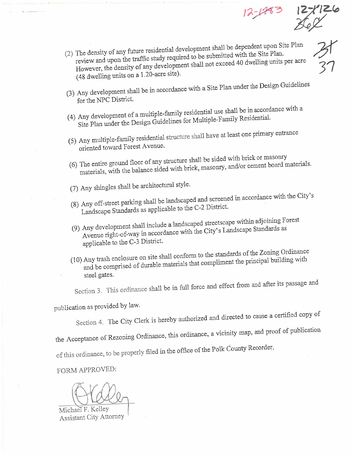$(2)$  The density of any future residential development is submitted with the Site Plan. review and upon the traince study required to be submitted to dwelling units However, the density of any development shall not exceed 40 dwelling units per acre (48 dwelling unts on a 1.20-acre site).

 $72726$ <br> $760$ <br> $27$ <br> $227$ <br> $226$ <br> $27$ 31

12-1283

- (3) Any development shall be in accordace with a Site Plan under the Design Guidelines
- for the NPC District.<br>(4) Any development of a multiple-family residential use shall be in accordance with a (4) Any development of a manipulation  $\epsilon$  and  $\epsilon$  indelines for Multiple-Family Residential. Site Plan under the Design  $\epsilon$
- (5) Any multiple-family residential structure shall have at least one primary entrance
- oriented toward Forest Avenue.<br>(6) The entire ground floor of any structure shall be sided with brick or masonry (6) The entire ground floor of  $\Xi$ ,  $\Xi$  and brick masonry, and/or cement board is materials, with the balance sided with brief, and and correct materials.
- (7) Any shigles shall be architectual style.
- (8) Any off-street parkig shall be landscaped and screened in accordance with the City's Landscape Stadards as applicable to the C-2 District.
- Avenue right-of-way in accordance with the City's Landscape Stadium (9) Any development shall include a landscaped streetscape within adjoining Forest
- applicable to the C-3 District.<br>(10) Any trash enclosure on site shall conform to the standards of the Zoning Ordinance  $(10)$  Any trash enclosure on site shall conform the principal building with and be comprised of durable  $\frac{1}{2}$ steel gates.

Section 3. This ordinance shall be in full force and effect from and after its passage and

publication as provided by law.

Section 4. The City Clerk is hereby authorized and directed to cause a certfied copy of

the Acceptance of Rezoning Ordinance, this ordinance, a vicinity map, and proof of publication

the Polk County Recorder.

FORM APPROVED:

ofthis ordinance, to be properly fied in the office of

Michael F. Kelley Assistant City Attorney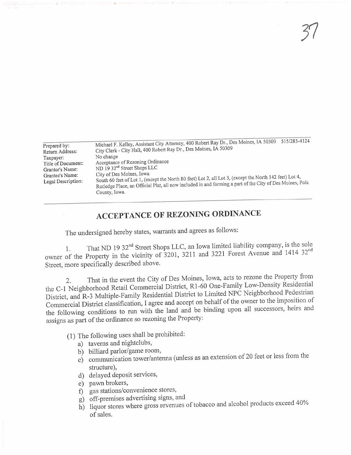|                    | 515/283-4124                                                                                             |  |  |  |  |  |
|--------------------|----------------------------------------------------------------------------------------------------------|--|--|--|--|--|
| Prepared by:       | Michael F. Kelley, Assistant City Attorney, 400 Robert Ray Dr., Des Moines, IA 50309                     |  |  |  |  |  |
|                    | City Clerk - City Hall, 400 Robert Ray Dr., Des Moines, IA 50309                                         |  |  |  |  |  |
| Return Address:    |                                                                                                          |  |  |  |  |  |
| Taxpayer:          | No change                                                                                                |  |  |  |  |  |
| Title of Document: | Acceptance of Rezoning Ordinance                                                                         |  |  |  |  |  |
|                    | ND 19 32 <sup>nd</sup> Street Shops LLC                                                                  |  |  |  |  |  |
| Grantor's Name:    |                                                                                                          |  |  |  |  |  |
| Grantee's Name:    | City of Des Moines, Iowa                                                                                 |  |  |  |  |  |
| Legal Description: | South 60 feet of Lot 1, (except the North 80 feet) Lot 2, all Lot 3, (except the North 142 feet) Lot 4,  |  |  |  |  |  |
|                    | Rutledge Place, an Official Plat, all now included in and forming a part of the City of Des Moines, Polk |  |  |  |  |  |
|                    |                                                                                                          |  |  |  |  |  |
|                    | County, Iowa.                                                                                            |  |  |  |  |  |

## ACCEPTANCE OF REZONING ORDINANCE

The undersigned hereby states, warrants and agrees as follows:

1. That ND 19  $32<sup>nd</sup>$  Street Shops LLC, an Iowa limited industry company, is the sole owner of the Property in the vicinity of 3201, 3211 and 32 Street, more specifically described above.

2. That in the event the City of Des Montes, i.e.,  $\sum_{n=1}^{\infty}$  The Property Regidential the C-1 Neighborhood Retail Commercial District, R1-60 One-Family Low Density Research District, and R-3 Multiple-Family Residential District to Limited NPC Neighborhood Pedestrian Commercial District classification,  $\frac{1}{2}$  with the land and be binding upon all successors, heirs and Commercial District classification, I agree and accept on behalf of the owner to the imposition of assigns as part of the ordinance so rezoning the Property:

- (1) The following uses shall be prohibited:
	-
	- a) taverns and nightclubs,<br>b) billiard parlor/game room, b) biliard parlor/game room,
	- c) communication tower/antenna (unless as an extension of 20 feet of less from the structure),
	- d) delayed deposit services,
	-
	- e) pawn brokers,<br>f) gas stations/convenience stores,
	- g) off-premises advertising signs, and
	- g) on premises advertising signs, b) liquor stores where gross revenues of tobacco and alcohol products exceed 40% of sales.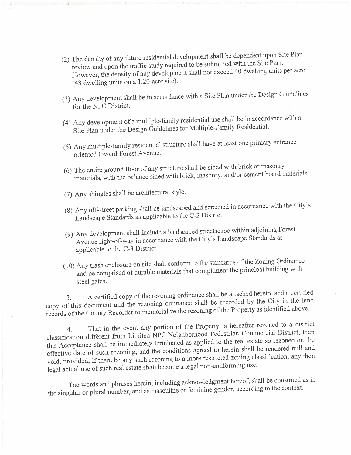- (2) The density of any future residential development shall be dependent upon Site Plan review and upon the traffic study required to be submitted with the Site Plan. However, the density of any development shall not exceed 40 diversity with  $\Gamma$ (48 dwelling units on a 1.20-acre site).
- (3) Any development shall be in accordance with a Site Plan under the Design Guidelines for the NPC District.
- (4) Any development of a multiple-family residential use  $\alpha$  and  $\alpha$  is shall be in accordance with a cordinal  $\alpha$ Site Plan under the Design Guidelines for  $\frac{1}{2}$ .
- (5) Any multiple-family residential structure shall have at least one primary entrance oriented toward Forest Avenue.
- (6) The entire ground floor of any structure shall be seen and/or cement board in  $\ddot{\theta}$ . materials, with the balance sided with brick, masomy, and/or cement board materials.
- (7) Any shingles shall be architectural style.
- (8) Any off-street parking shall be landscaped and screened in accordance with the City's Landscape Standards as applicable to the C-2 District.
- (9) Any development shall include a landscaped street  $\frac{1}{4}$ Avenue right-of-way in accordance with the City's Landscape Standards as applicable to the C-3 District.
- $(10)$  Any trash enclosure on site shall confident compliment the principal building with and be comprised of durable materials that compliment the principal building steel gates.

3. A certified copy of the rezoning ordinance shall be attached hereto, and a certified copy of this document and the rezoning ordinance shall be recorded by the City in the control of the land control of the land control of the land control of the land control of the land control of the land control of the l records of the County Recorder to memorialize the regioning of the Property as is

4. That in the event any point of the Properties Commercial District then classification different from Limited NPC Neighborhood Pedestrian Commercial this Acceptance shall be immediately terminated as applied to the real estate so rezoned on the effective date of such rezoning, and the conditions agreed to herein shall be rendered null and effective date of such rezoning, and the conditions agreed to herein shall be reflected. void, provided, if there be any such rezoning to a more restricted zoning experience. legal actual use of such real estate shall become a legal non-conforming use.

The words and phrases herein, including acknowledgment hereof, shall be construed as in the singular or plural number, and as masculine or feminine gender, according to the context.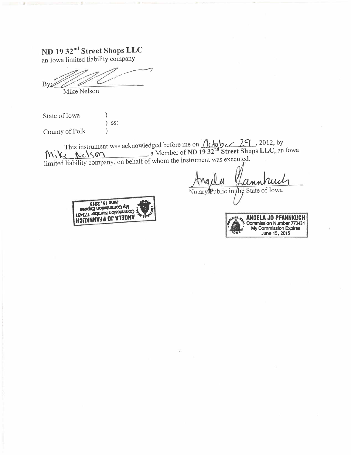# ND 19 32<sup>nd</sup> Street Shops LLC

an Iowa limited liability company

 $By \geq$ Mike Nelson

State of Iowa  $\mathcal{E}$ ) ss:  $\lambda$ County of Polk

This instrument was acknowledged before me on October 29, 2012, by<br>a Member of ND 19 32<sup>nd</sup> Street Shops LLC, an Iowa limited liability company, on behalf of whom the instrument was executed.

Notary Public in the State of Iowa



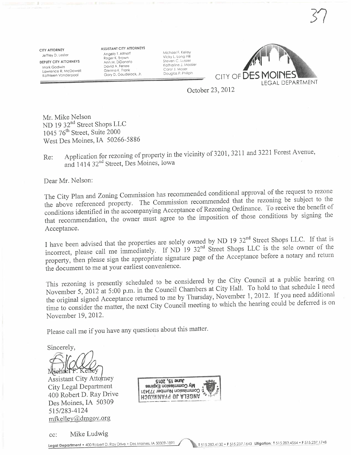3í

CITY ATTORNEY Jeffrey D. Lester DEPUTY CITY ATTORNEYS Mark Godwin Lawrence R. McDowell Kathleen Vanderpool

ASSISTANT CITY ATTORNEYS Angela T. Althoff Roger K. Brown Ann M. DiDonato David A. Ferree Glenna K. Frank Gary D. Goudelock. Jr,

Michael F. Kelley Vicky L. Long Hill Steven C. Lussier Katharine j, Massier Carol J. Moser<br>Douglas P. Philiph



October 23, 2012

Mr. Mike Nelson ND 19 32<sup>nd</sup> Street Shops LLC 1045 76th Street, Suite 2000 West Des Moines, IA 50266-5886

### and  $141432<sup>nd</sup>$  Street, Des Moines, lowa Application for rezoning of property in the vicinity of 3201, 3211 and 3221 Forest Avenue,

Dear Mr. Nelson:

The City Plan and Zoning Commission has recommended conditional approval of the request to the the above referenced property. The Commission recommended that the reasoning be subject to conditions identified in the accompanying Acceptance of Rezoning Ordinance. To receive the benefit of that recommendation, the owner must agree to the imposition of those conditions by signing the

Acceptance.<br>I have been advised that the properties are solely owned by ND 19 32<sup>nd</sup> Street Shops LLC. If that is incorrect, please call me immediately. If ND 19 32<sup>nd</sup> Street Shops LLC is the sole owner of the incorrect, please call me immediately. If  $\overline{N}D$  19 32 is successible, hence  $\overline{D}$  is the solution of the solution of the sole of the sole of the sole of the sole of the sole of the sole of the sole of the sole of t property, then please sign the appropriate signature page of the Acceptance before a notary and returns the document to me at your earliest convenience.

This rezoning is presently scheduled to be considered by the City Hold. To hold to that schedule I need November 5, 2012 at 5:00 p.m. in the Council Chambers at City Hall. To hold to the lead additional the original signed Acceptance returned to me by Thursday, November 1, 2012. If you need additional time to consider the matter, the next City Council meeting to which the hearing could be deferred is on November 19,2012.

Please call me if you have any questions about this matter.

Sincerely,<br>Michael F. Kelley<br>Assistant City Attorney

City Legal Deparment 400 Robert D. Rày Drive Des Moines, IA 50309 515/283-4124 mfkelley@dmgov.org

cc: Mike Ludwig

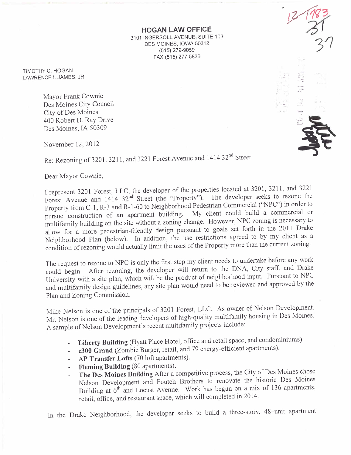HOGAN LAW OFFICE 3101 INGERSOLL AVENUE, SUITE 103 DES MOINES, IOWA 50312 (515) 279-9059 FAX (515) 277-5836

TIMOTHY C. HOGAN LAWRENCE I. JAMES, JR.

> Mayor Frank Cownie Des Moines City Council City of Des Moines 400 Robert D. Ray Drive Des Moines, IA 50309

Re: Rezoning of 3201, 3211, and 3221 Forest Avenue and 1414 32<sup>nd</sup> Street

Dear Mayor Cownie,

I represent 3201 Forest, LLC, the developer of the properties located at 3201, 3211, and 3221 Forest Avenue and 1414 32<sup>nd</sup> Street (the "Property"). The developer seeks to rezone the Property from C-1, R-3 and R-1-60 to Neighborhood Pedestrian Commercial ("NPC") in order to pursue construction of an apartment building. My client could build a commercial or pursue construction of an apartment building. My client could build a constant to multifamily building on the site without a zoning change. However, NPC zoning is necessary to allow for a more pedestrian-friendly design pursuant to goals set forth in the 2011 Drake Neighborhood Plan (below). In addition, the use restrictions agreed to by my client as a condition of rezoning would actually limit the uses of the Property more than the current zoning.

The request to rezone to NPC is only the first step my client needs to undertake before any work could begin. After rezoning, the developer will return to the DNA, City staff, and Drake could begin. After rezoning, the developer will return to the D<sub>rake</sub> Draggart to NBC University with a site plan, which will be the product of neighborhood input. Pursuant to  $N$ and multifamily design guidelines, any site plan would need to be reviewed and approved by the Plan and Zoning Commission.

Mike Nelson is one of the principals of 3201 Forest, LLC. As owner of Nelson Development, Mr. Nelson is one of the leading developers of high-quality multifamily housing in Des Moines. A sample of Nelson Development's recent multifamily projects include:

- Liberty Building (Hyatt Place Hotel, office and retail space, and condominiums).
- e300 Grand (Zombie Burger, retail, and 79 energy-efficient apartments).
- AP Transfer Lofts (70 loft apartments).
- Fleming Building (80 apartments).
- The Des Moines Building After a competitive process, the City of Des Moines chose Nelson Development and Foutch Brothers to renovate the historic Des Moines Building at 6<sup>th</sup> and Locust Avenue. Work has begun on a mix of 136 apartments, retail, office, and restaurant space, which will completed in 2014.

In the Drake Neighborhood, the developer seeks to build a three-story, 48-unit apartment

 $3'$  $~<~$ I . D~ ~)

12 1983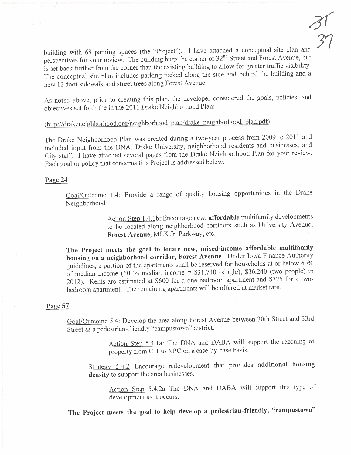$\frac{31}{27}$  $31$ 

building with 68 parking spaces (the "Project"). I have attached a conceptual site plan and perspectives for your review. The building hugs the corner of 32<sup>nd</sup> Street and Forest Avenue, but perspectives for your review. The building hugs the corner of 32nd Street and Forest Avenue, but Avenue, but Avenue, but Avenue, but Avenue, but Avenue, but Avenue, but Avenue, but Avenue, but Avenue, but Avenue, but Avenu is set back further from the corner than the existing building to allow for greater traffic visibility. The conceptual site plan includes parking tucked along the side and behind the building and a new 12-foot sidewalk and street trees along Forest Avenue.

As noted above, prior to creating this plan, the developer considered the goals, policies, and objectives set forth the in the 2011 Drake Neighborhood Plan:

### (http://drakeneighborhood.org/neighborhood plan/drake neighborhood plan.pdt).

The Drake Neighborhood Plan was created during a two-year process from 2009 to 2011 and included input from the DNA, Drake University, neighborhood residents and businesses, and City staff. I have attached several pages from the Drake Neighborhood Plan for your review. Each goal or policy that concerns this Project is addressed below.

#### Page 24

Goal/Outcome 1.4: Provide a range of quality housing opportunities in the Drake Neighborhood

> Action Step 1.4.1b: Encourage new, affordable multifamily developments to be located along neighborhood corridors such as University Avenue, Forest Avenue, MLK Jr. Parkway, etc.

The Project meets the goal to locate new, mixed-income affordable multifamily housing on a neighborhood corridor, Forest Avenue. Under Iowa Finance Authority guidelines, a portion of the apartments shall be reserved for households at or below 60% of median income (60 % median income =  $$31,740$  (single), \$36,240 (two people) in 2012). Rents are estimated at \$600 for a one-bedroom apartment and \$725 for a twobedroom apartment. The remaining apartments will be offered at market rate.

#### Page 57

Goal/Outcome 5.4: Develop the area along Forest Avenue between 30th Street and 33rd Street as a pedestrian-friendly "campustown" district.

> Action Step 5.4.1a: The DNA and DABA will support the rezoning of property from C-1 to NPC on a case-by-case basis.

Strategy 5.4.2 Encourage redevelopment that provides additional housing density to support the area businesses.

Action Step 5.4.2a The DNA and DABA will support this type of development as it occurs.

The Project meets the goal to help develop a pedestrian-friendly, "campustown"